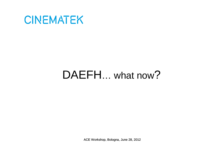

### DAEFH... what now?

ACE Workshop, Bologna, June 28, 2012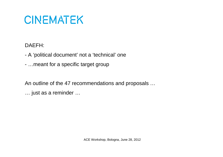DAEFH:

- -A 'political document' not a 'technical' one
- -…meant for a specific target group

An outline of the 47 recommendations and proposals …

… just as a reminder …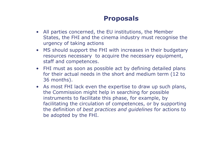- All parties concerned, the EU institutions, the Member<br>States, the EHI and the cinema industry must recognis States, the FHI and the cinema industry must recognise the urgency of taking actions
- $\bullet$  MS should support the FHI with increases in their budgetary resources necessary to acquire the necessary equipment, staff and competences.
- $\bullet$  FHI must as soon as possible act by defining detailed plans for their actual needs in the short and medium term (12 to 36 months).
- As most FHI lack even the expertise to draw up such plans,<br>the Commission might help in searching for possible the Commission might help in searching for possible instruments to facilitate this phase, for example, by facilitating the circulation of competences, or by supporting the definition of *best practices and guidelines* for actions to be adopted by the FHI.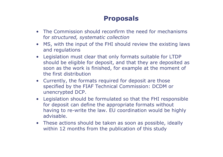- The Commission should reconfirm the need for mechanisms<br>for structured systematic collection for *structured, systematic collection*
- MS, with the input of the FHI should review the existing laws<br>and requlations  $\bullet$ and regulations
- $\bullet$  Legislation must clear that only formats suitable for LTDP should be eligible for deposit, and that they are deposited as soon as the work is finished, for example at the moment of the first distribution
- $\bullet$  Currently, the formats required for deposit are those specified by the FIAF Technical Commission: DCDM orunencrypted DCP.
- $\bullet$  Legislation should be formulated so that the FHI responsible for deposit can define the appropriate formats without having to re-write the law. EU coordination would be highly advisable.
- These actions should be taken as soon as possible, ideally<br>within 12 months from the nublication of this study within 12 months from the publication of this study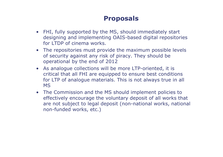- FHI, fully supported by the MS, should immediately start<br>designing and implementing OAIS-based digital repositori designing and implementing OAIS-based digital repositories for LTDP of cinema works.
- The repositories must provide the maximum possible levels of security against any risk of piracy. They should be of security against any risk of piracy. They should be operational by the end of 2012
- As analogue collections will be more LTP-oriented, it is critical that all FHI are equipped to ensure best conditions for LTP of analogue materials. This is not always true in all MS
- The Commission and the MS should implement policies to<br>effectively encourage the voluntary denosit of all works the effectively encourage the voluntary deposit of all works that are not subject to legal deposit (non-national works, national non-funded works, etc.)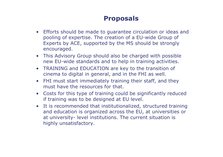- Efforts should be made to guarantee circulation or ideas and<br>nooling of expertise. The creation of a ELL-wide Group of pooling of expertise. The creation of a EU-wide Group of Experts by ACE, supported by the MS should be strongly encouraged.
- $\bullet$  This Advisory Group should also be charged with possible new EU-wide standards and to help in training activities.
- TRAINING and EDUCATION are key to the transition of<br>cinema to digital in general, and in the FHI as well cinema to digital in general, and in the FHI as well.
- $\bullet$  FHI must start immediately training their staff, and they must have the resources for that.
- $\bullet$  Costs for this type of training could be significantly reduced if training was to be designed at EU level.
- $\bullet$  It is recommended that institutionalized, structured training and education is organized across the EU, at universities or at university- level institutions. The current situation is highly unsatisfactory.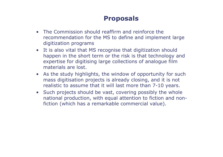- The Commission should reaffirm and reinforce the The Commission should reaffirm and reinforce the recommendation for the MS to define and implement large digitization programs
- It is also vital that MS recognise that digitization should<br>hannen in the short term or the risk is that technology a happen in the short term or the risk is that technology and expertise for digitising large collections of analogue film materials are lost.
- As the study highlights, the window of opportunity for such mass digitisation projects is already closing, and it is not mass digitisation projects is already closing, and it is not realistic to assume that it will last more than 7-10 years.
- $\bullet$  Such projects should be vast, covering possibly the whole national production, with equal attention to fiction and nonfiction (which has a remarkable commercial value).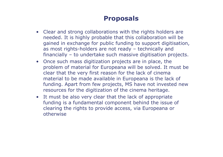- Clear and strong collaborations with the rights holders are<br>• needed It is highly probable that this collaboration will be needed. It is highly probable that this collaboration will be gained in exchange for public funding to support digitisation, as most rights-holders are not ready – technically and financially – to undertake such massive digitisation projects.
- Once such mass digitization projects are in place, the nroblem of material for Europeana will be solved. It m problem of material for Europeana will be solved. It must be clear that the very first reason for the lack of cinema material to be made available in Europeana is the lack of funding. Apart from few projects, MS have not invested new resources for the digitization of the cinema heritage.
- It must be also very clear that the lack of appropriate funding is a fundamental component behind the issue funding is a fundamental component behind the issue of clearing the rights to provide access, via Europeana or otherwise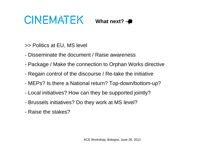What next? **-**

>> Politics at EU, MS level

- -Disseminate the document / Raise awareness
- -Package / Make the connection to Orphan Works directive
- -Regain control of the discourse / Re-take the initiative
- -MEPs? Is there a National return? Top-down/bottom-up?
- -Local initiatives? How can they be supported jointly?
- -Brussels initiatives? Do they work at MS level?
- -Raise the stakes?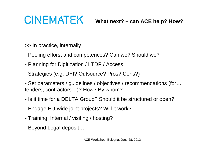**What next? – can ACE help? How?**

>> In practice, internally

- -Pooling efforst and competences? Can we? Should we?
- -Planning for Digitization / LTDP / Access
- -Strategies (e.g. DYI? Outsource? Pros? Cons?)
- - Set parameters / guidelines / objectives / recommendations (for…tenders, contractors…)? How? By whom?
- -Is it time for a DELTA Group? Should it be structured or open?
- -Engage EU-wide joint projects? Will it work?
- -Training! Internal / visiting / hosting?
- Beyond Legal deposit….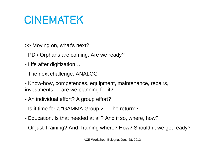>> Moving on, what's next?

- -PD / Orphans are coming. Are we ready?
- -Life after digitization…
- -The next challenge: ANALOG

- Know-how, competences, equipment, maintenance, repairs, investments,… are we planning for it?

- -An individual effort? A group effort?
- -Is it time for a "GAMMA Group 2 – The return"?
- -Education. Is that needed at all? And if so, where, how?
- -Or just Training? And Training where? How? Shouldn't we get ready?